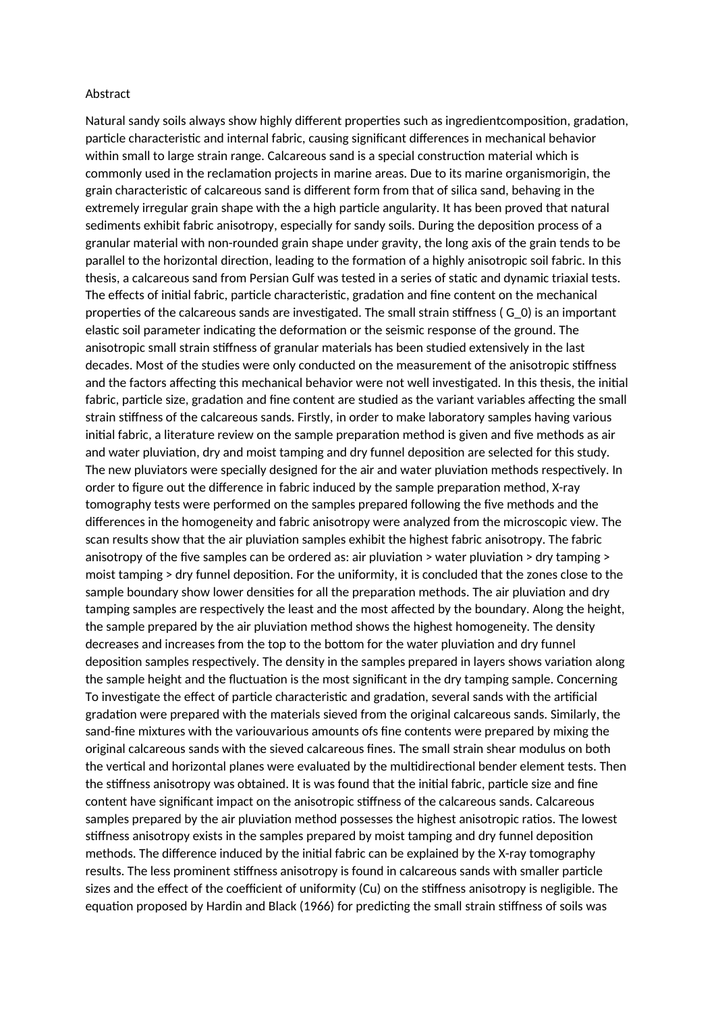## Abstract

Natural sandy soils always show highly different properties such as ingredientcomposition, gradation, particle characteristic and internal fabric, causing significant differences in mechanical behavior within small to large strain range. Calcareous sand is a special construction material which is commonly used in the reclamation projects in marine areas. Due to its marine organismorigin, the grain characteristic of calcareous sand is different form from that of silica sand, behaving in the extremely irregular grain shape with the a high particle angularity. It has been proved that natural sediments exhibit fabric anisotropy, especially for sandy soils. During the deposition process of a granular material with non-rounded grain shape under gravity, the long axis of the grain tends to be parallel to the horizontal direction, leading to the formation of a highly anisotropic soil fabric. In this thesis, a calcareous sand from Persian Gulf was tested in a series of static and dynamic triaxial tests. The effects of initial fabric, particle characteristic, gradation and fine content on the mechanical properties of the calcareous sands are investigated. The small strain stiffness ( G\_0) is an important elastic soil parameter indicating the deformation or the seismic response of the ground. The anisotropic small strain stiffness of granular materials has been studied extensively in the last decades. Most of the studies were only conducted on the measurement of the anisotropic stiffness and the factors affecting this mechanical behavior were not well investigated. In this thesis, the initial fabric, particle size, gradation and fine content are studied as the variant variables affecting the small strain stiffness of the calcareous sands. Firstly, in order to make laboratory samples having various initial fabric, a literature review on the sample preparation method is given and five methods as air and water pluviation, dry and moist tamping and dry funnel deposition are selected for this study. The new pluviators were specially designed for the air and water pluviation methods respectively. In order to figure out the difference in fabric induced by the sample preparation method, X-ray tomography tests were performed on the samples prepared following the five methods and the differences in the homogeneity and fabric anisotropy were analyzed from the microscopic view. The scan results show that the air pluviation samples exhibit the highest fabric anisotropy. The fabric anisotropy of the five samples can be ordered as: air pluviation > water pluviation > dry tamping > moist tamping > dry funnel deposition. For the uniformity, it is concluded that the zones close to the sample boundary show lower densities for all the preparation methods. The air pluviation and dry tamping samples are respectively the least and the most affected by the boundary. Along the height, the sample prepared by the air pluviation method shows the highest homogeneity. The density decreases and increases from the top to the bottom for the water pluviation and dry funnel deposition samples respectively. The density in the samples prepared in layers shows variation along the sample height and the fluctuation is the most significant in the dry tamping sample. Concerning To investigate the effect of particle characteristic and gradation, several sands with the artificial gradation were prepared with the materials sieved from the original calcareous sands. Similarly, the sand-fine mixtures with the variouvarious amounts ofs fine contents were prepared by mixing the original calcareous sands with the sieved calcareous fines. The small strain shear modulus on both the vertical and horizontal planes were evaluated by the multidirectional bender element tests. Then the stiffness anisotropy was obtained. It is was found that the initial fabric, particle size and fine content have significant impact on the anisotropic stiffness of the calcareous sands. Calcareous samples prepared by the air pluviation method possesses the highest anisotropic ratios. The lowest stiffness anisotropy exists in the samples prepared by moist tamping and dry funnel deposition methods. The difference induced by the initial fabric can be explained by the X-ray tomography results. The less prominent stiffness anisotropy is found in calcareous sands with smaller particle sizes and the effect of the coefficient of uniformity (Cu) on the stiffness anisotropy is negligible. The equation proposed by Hardin and Black (1966) for predicting the small strain stiffness of soils was